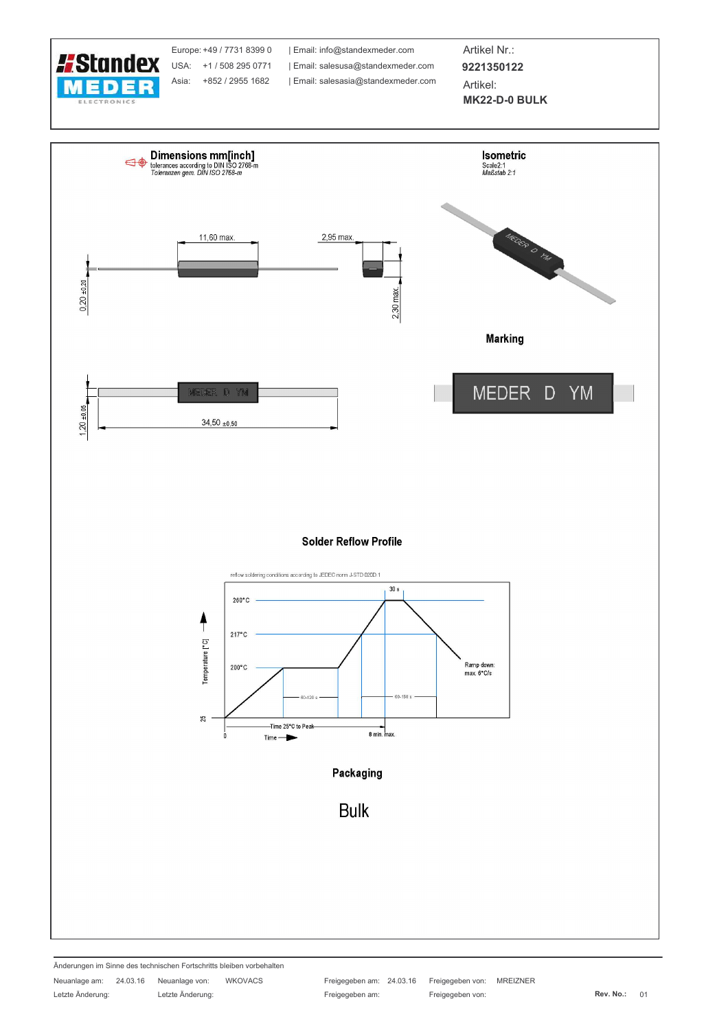

Änderungen im Sinne des technischen Fortschritts bleiben vorbehalten

Letzte Änderung:

Neuanlage am: 24.03.16 Neuanlage von: Letzte Änderung:

WKOVACS

25

Time 25°C to Peak

 $Time -$ 

Freigegeben am: 24.03.16 Freigegeben von: **MREIZNER** Freigegeben am: Freigegeben von:

8 min. max

Packaging

**Bulk**